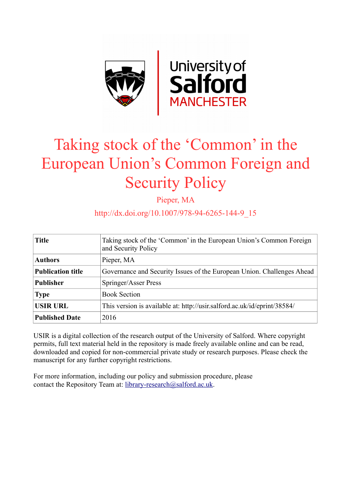

# Taking stock of the 'Common' in the European Union's Common Foreign and Security Policy

Pieper, MA

## http://dx.doi.org/10.1007/978-94-6265-144-9\_15

| <b>Title</b>             | Taking stock of the 'Common' in the European Union's Common Foreign<br>and Security Policy |
|--------------------------|--------------------------------------------------------------------------------------------|
| <b>Authors</b>           | Pieper, MA                                                                                 |
| <b>Publication title</b> | Governance and Security Issues of the European Union. Challenges Ahead                     |
| <b>Publisher</b>         | Springer/Asser Press                                                                       |
| <b>Type</b>              | <b>Book Section</b>                                                                        |
| <b>USIR URL</b>          | This version is available at: http://usir.salford.ac.uk/id/eprint/38584/                   |
| <b>Published Date</b>    | 2016                                                                                       |

USIR is a digital collection of the research output of the University of Salford. Where copyright permits, full text material held in the repository is made freely available online and can be read, downloaded and copied for non-commercial private study or research purposes. Please check the manuscript for any further copyright restrictions.

For more information, including our policy and submission procedure, please contact the Repository Team at: [library-research@salford.ac.uk.](mailto:library-research@salford.ac.uk)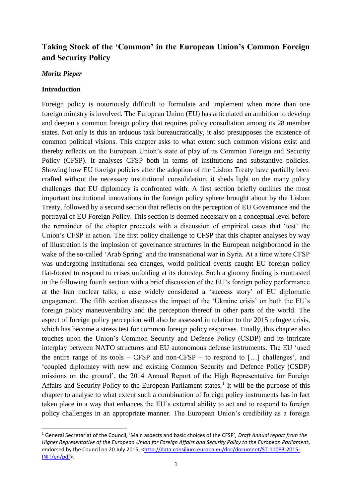## **Taking Stock of the 'Common' in the European Union's Common Foreign and Security Policy**

#### *Moritz Pieper*

#### **Introduction**

**.** 

Foreign policy is notoriously difficult to formulate and implement when more than one foreign ministry is involved. The European Union (EU) has articulated an ambition to develop and deepen a common foreign policy that requires policy consultation among its 28 member states. Not only is this an arduous task bureaucratically, it also presupposes the existence of common political visions. This chapter asks to what extent such common visions exist and thereby reflects on the European Union's state of play of its Common Foreign and Security Policy (CFSP). It analyses CFSP both in terms of institutions and substantive policies. Showing how EU foreign policies after the adoption of the Lisbon Treaty have partially been crafted without the necessary institutional consolidation, it sheds light on the many policy challenges that EU diplomacy is confronted with. A first section briefly outlines the most important institutional innovations in the foreign policy sphere brought about by the Lisbon Treaty, followed by a second section that reflects on the perception of EU Governance and the portrayal of EU Foreign Policy. This section is deemed necessary on a conceptual level before the remainder of the chapter proceeds with a discussion of empirical cases that 'test' the Union's CFSP in action. The first policy challenge to CFSP that this chapter analyses by way of illustration is the implosion of governance structures in the European neighborhood in the wake of the so-called 'Arab Spring' and the transnational war in Syria. At a time where CFSP was undergoing institutional sea changes, world political events caught EU foreign policy flat-footed to respond to crises unfolding at its doorstep. Such a gloomy finding is contrasted in the following fourth section with a brief discussion of the EU's foreign policy performance at the Iran nuclear talks, a case widely considered a 'success story' of EU diplomatic engagement. The fifth section discusses the impact of the 'Ukraine crisis' on both the EU's foreign policy maneuverability and the perception thereof in other parts of the world. The aspect of foreign policy perception will also be assessed in relation to the 2015 refugee crisis, which has become a stress test for common foreign policy responses. Finally, this chapter also touches upon the Union's Common Security and Defense Policy (CSDP) and its intricate interplay between NATO structures and EU autonomous defense instruments. The EU 'used the entire range of its tools – CFSP and non-CFSP – to respond to […] challenges', and 'coupled diplomacy with new and existing Common Security and Defence Policy (CSDP) missions on the ground', the 2014 Annual Report of the High Representative for Foreign Affairs and Security Policy to the European Parliament states.<sup>1</sup> It will be the purpose of this chapter to analyse to what extent such a combination of foreign policy instruments has in fact taken place in a way that enhances the EU's external ability to act and to respond to foreign policy challenges in an appropriate manner. The European Union's credibility as a foreign

<sup>1</sup> General Secretariat of the Council, 'Main aspects and basic choices of the CFSP', *Draft Annual report from the Higher Representative of the European Union for Foreign Affairs and Security Policy to the European Parliament*, endorsed by the Council on 20 July 2015, [<http://data.consilium.europa.eu/doc/document/ST-11083-2015-](http://data.consilium.europa.eu/doc/document/ST-11083-2015-INIT/en/pdf) [INIT/en/pdf>](http://data.consilium.europa.eu/doc/document/ST-11083-2015-INIT/en/pdf).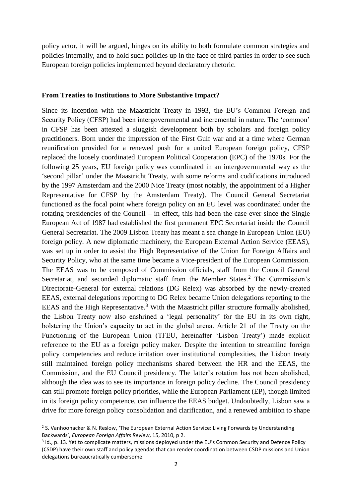policy actor, it will be argued, hinges on its ability to both formulate common strategies and policies internally, and to hold such policies up in the face of third parties in order to see such European foreign policies implemented beyond declaratory rhetoric.

#### **From Treaties to Institutions to More Substantive Impact?**

Since its inception with the Maastricht Treaty in 1993, the EU's Common Foreign and Security Policy (CFSP) had been intergovernmental and incremental in nature. The 'common' in CFSP has been attested a sluggish development both by scholars and foreign policy practitioners. Born under the impression of the First Gulf war and at a time where German reunification provided for a renewed push for a united European foreign policy, CFSP replaced the loosely coordinated European Political Cooperation (EPC) of the 1970s. For the following 25 years, EU foreign policy was coordinated in an intergovernmental way as the 'second pillar' under the Maastricht Treaty, with some reforms and codifications introduced by the 1997 Amsterdam and the 2000 Nice Treaty (most notably, the appointment of a Higher Representative for CFSP by the Amsterdam Treaty). The Council General Secretariat functioned as the focal point where foreign policy on an EU level was coordinated under the rotating presidencies of the Council – in effect, this had been the case ever since the Single European Act of 1987 had established the first permanent EPC Secretariat inside the Council General Secretariat. The 2009 Lisbon Treaty has meant a sea change in European Union (EU) foreign policy. A new diplomatic machinery, the European External Action Service (EEAS), was set up in order to assist the High Representative of the Union for Foreign Affairs and Security Policy, who at the same time became a Vice-president of the European Commission. The EEAS was to be composed of Commission officials, staff from the Council General Secretariat, and seconded diplomatic staff from the Member States.<sup>2</sup> The Commission's Directorate-General for external relations (DG Relex) was absorbed by the newly-created EEAS, external delegations reporting to DG Relex became Union delegations reporting to the EEAS and the High Representative.<sup>3</sup> With the Maastricht pillar structure formally abolished, the Lisbon Treaty now also enshrined a 'legal personality' for the EU in its own right, bolstering the Union's capacity to act in the global arena. Article 21 of the Treaty on the Functioning of the European Union (TFEU, hereinafter 'Lisbon Treaty') made explicit reference to the EU as a foreign policy maker. Despite the intention to streamline foreign policy competencies and reduce irritation over institutional complexities, the Lisbon treaty still maintained foreign policy mechanisms shared between the HR and the EEAS, the Commission, and the EU Council presidency. The latter's rotation has not been abolished, although the idea was to see its importance in foreign policy decline. The Council presidency can still promote foreign policy priorities, while the European Parliament (EP), though limited in its foreign policy competence, can influence the EEAS budget. Undoubtedly, Lisbon saw a drive for more foreign policy consolidation and clarification, and a renewed ambition to shape

<sup>&</sup>lt;sup>2</sup> S. Vanhoonacker & N. Reslow, 'The European External Action Service: Living Forwards by Understanding Backwards', *European Foreign Affairs Review*, 15, 2010, p 2.

<sup>&</sup>lt;sup>3</sup> Id., p. 13. Yet to complicate matters, missions deployed under the EU's Common Security and Defence Policy (CSDP) have their own staff and policy agendas that can render coordination between CSDP missions and Union delegations bureaucratically cumbersome.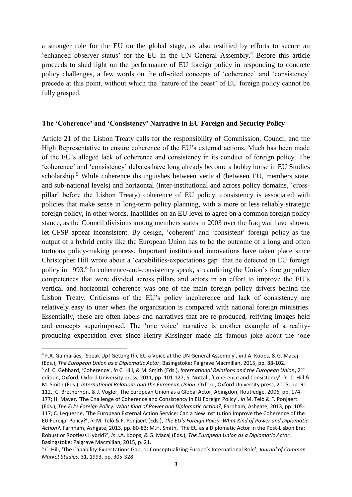a stronger role for the EU on the global stage, as also testified by efforts to secure an 'enhanced observer status' for the EU in the UN General Assembly.<sup>4</sup> Before this article proceeds to shed light on the performance of EU foreign policy in responding to concrete policy challenges, a few words on the oft-cited concepts of 'coherence' and 'consistency' precede at this point, without which the 'nature of the beast' of EU foreign policy cannot be fully grasped.

### **The 'Coherence' and 'Consistency' Narrative in EU Foreign and Security Policy**

Article 21 of the Lisbon Treaty calls for the responsibility of Commission, Council and the High Representative to ensure coherence of the EU's external actions. Much has been made of the EU's alleged lack of coherence and consistency in its conduct of foreign policy. The 'coherence' and 'consistency' debates have long already become a hobby horse in EU Studies scholarship.<sup>5</sup> While coherence distinguishes between vertical (between EU, members state, and sub-national levels) and horizontal (inter-institutional and across policy domains, 'crosspillar' before the Lisbon Treaty) coherence of EU policy, consistency is associated with policies that make sense in long-term policy planning, with a more or less reliably strategic foreign policy, in other words. Inabilities on an EU level to agree on a common foreign policy stance, as the Council divisions among members states in 2003 over the Iraq war have shown, let CFSP appear inconsistent. By design, 'coherent' and 'consistent' foreign policy as the output of a hybrid entity like the European Union has to be the outcome of a long and often tortuous policy-making process. Important institutional innovations have taken place since Christopher Hill wrote about a 'capabilities-expectations gap' that he detected in EU foreign policy in 1993. 6 In coherence-and-consistency speak, streamlining the Union's foreign policy competences that were divided across pillars and actors in an effort to improve the EU's vertical and horizontal coherence was one of the main foreign policy drivers behind the Lisbon Treaty. Criticisms of the EU's policy incoherence and lack of consistency are relatively easy to utter when the organization is compared with national foreign ministries. Essentially, these are often labels and narratives that are re-produced, reifying images held and concepts superimposed. The 'one voice' narrative is another example of a realityproducing expectation ever since Henry Kissinger made his famous joke about the 'one

<sup>4</sup> F.A. Guimarães, 'Speak Up! Getting the EU a Voice at the UN General Assembly', *in* J.A. Koops, & G. Macaj (Eds.), *The European Union as a Diplomatic Actor*, Basingstoke: Palgrave Macmillan, 2015, pp. 88-102.

<sup>&</sup>lt;sup>5</sup> cf. C. Gebhard, 'Coherence', *in* C. Hill, & M. Smith (Eds.), *International Relations and the European Union*, 2<sup>nd</sup> edition, Oxford, Oxford University press, 2011, pp. 101-127; S. Nuttall, 'Coherence and Consistency', *in* C. Hill & M. Smith (Eds.), *International Relations and the European Union*, Oxford, Oxford University press, 2005, pp. 91- 112.; C. Bretherhon, & J. Vogler, The European Union as a Global Actor, Abingdon, Routledge. 2006, pp. 174- 177; H. Mayer, 'The Challenge of Coherence and Consistency in EU Foreign Policy', *in* M. Telò & F. Ponjaert (Eds.), *The EU's Foreign Policy. What Kind of Power and Diplomatic Action?*, Farnham, Ashgate, 2013, pp. 105- 117; C. Lequesne, 'The European External Action Service: Can a New Institution Improve the Coherence of the EU Foreign Policy?', *in* M. Telò & F. Ponjaert (Eds.), *The EU's Foreign Policy. What Kind of Power and Diplomatic Action?*, Farnham, Ashgate, 2013, pp. 80-83; M.H. Smith, 'The EU as a Diplomatic Actor in the Post-Lisbon Era: Robust or Rootless Hybrid?', *in* J.A. Koops, & G. Macaj (Eds.), *The European Union as a Diplomatic Actor*, Basingstoke: Palgrave Macmillan, 2015, p. 21.

<sup>6</sup> C. Hill, 'The Capability-Expectations Gap, or Conceptualizing Europe's International Role', *Journal of Common Market Studies*, 31, 1993, pp. 305-328.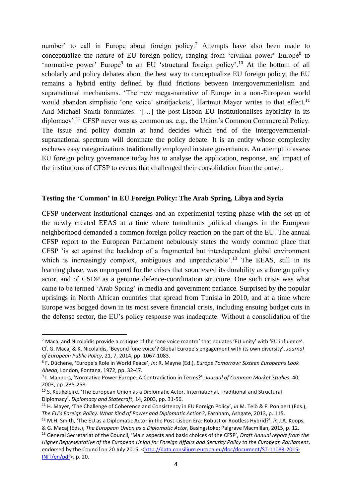number' to call in Europe about foreign policy.<sup>7</sup> Attempts have also been made to conceptualize the *nature* of EU foreign policy, ranging from 'civilian power' Europe<sup>8</sup> to 'normative power' Europe<sup>9</sup> to an EU 'structural foreign policy'.<sup>10</sup> At the bottom of all scholarly and policy debates about the best way to conceptualize EU foreign policy, the EU remains a hybrid entity defined by fluid frictions between intergovernmentalism and supranational mechanisms. 'The new mega-narrative of Europe in a non-European world would abandon simplistic 'one voice' straitjackets', Hartmut Mayer writes to that effect.<sup>11</sup> And Michael Smith formulates: '[…] the post-Lisbon EU institutionalises hybridity in its diplomacy'.<sup>12</sup> CFSP never was as common as, e.g., the Union's Common Commercial Policy. The issue and policy domain at hand decides which end of the intergovernmentalsupranational spectrum will dominate the policy debate. It is an entity whose complexity eschews easy categorizations traditionally employed in state governance. An attempt to assess EU foreign policy governance today has to analyse the application, response, and impact of the institutions of CFSP to events that challenged their consolidation from the outset.

#### **Testing the 'Common' in EU Foreign Policy: The Arab Spring, Libya and Syria**

CFSP underwent institutional changes and an experimental testing phase with the set-up of the newly created EEAS at a time where tumultuous political changes in the European neighborhood demanded a common foreign policy reaction on the part of the EU. The annual CFSP report to the European Parliament nebulously states the wordy common place that CFSP 'is set against the backdrop of a fragmented but interdependent global environment which is increasingly complex, ambiguous and unpredictable'.<sup>13</sup> The EEAS, still in its learning phase, was unprepared for the crises that soon tested its durability as a foreign policy actor, and of CSDP as a genuine defence-coordination structure. One such crisis was what came to be termed 'Arab Spring' in media and government parlance. Surprised by the popular uprisings in North African countries that spread from Tunisia in 2010, and at a time where Europe was bogged down in its most severe financial crisis, including ensuing budget cuts in the defense sector, the EU's policy response was inadequate. Without a consolidation of the

<sup>7</sup> Macaj and Nicolaïdis provide a critique of the 'one voice mantra' that equates 'EU unity' with 'EU influence'. Cf. G. Macaj & K. Nicolaïdis, 'Beyond 'one voice'? Global Europe's engagement with its own diversity', *Journal of European Public Policy*, 21, 7, 2014, pp. 1067-1083.

<sup>8</sup> F. Dûchene, 'Europe's Role in World Peace', *in*: R. Mayne (Ed.), *Europe Tomorrow: Sixteen Europeans Look Ahead*, London, Fontana, 1972, pp. 32-47.

<sup>9</sup> I. Manners, 'Normative Power Europe: A Contradiction in Terms?', *Journal of Common Market Studies*, 40, 2003, pp. 235-258.

<sup>&</sup>lt;sup>10</sup> S. Keukeleire, 'The European Union as a Diplomatic Actor. International, Traditional and Structural Diplomacy', *Diplomacy and Statecraft*, 14, 2003, pp. 31-56.

<sup>11</sup> H. Mayer, 'The Challenge of Coherence and Consistency in EU Foreign Policy', *in* M. Telò & F. Ponjaert (Eds.), *The EU's Foreign Policy. What Kind of Power and Diplomatic Action?*, Farnham, Ashgate, 2013, p. 115.

<sup>12</sup> M.H. Smith, 'The EU as a Diplomatic Actor in the Post-Lisbon Era: Robust or Rootless Hybrid?', *in* J.A. Koops,

<sup>&</sup>amp; G. Macaj (Eds.), *The European Union as a Diplomatic Actor*, Basingstoke: Palgrave Macmillan, 2015, p. 12.

<sup>13</sup> General Secretariat of the Council, 'Main aspects and basic choices of the CFSP', *Draft Annual report from the Higher Representative of the European Union for Foreign Affairs and Security Policy to the European Parliament*, endorsed by the Council on 20 July 2015, [<http://data.consilium.europa.eu/doc/document/ST-11083-2015-](http://data.consilium.europa.eu/doc/document/ST-11083-2015-INIT/en/pdf) [INIT/en/pdf>](http://data.consilium.europa.eu/doc/document/ST-11083-2015-INIT/en/pdf), p. 20.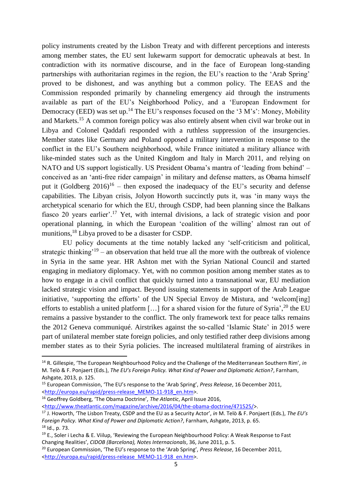policy instruments created by the Lisbon Treaty and with different perceptions and interests among member states, the EU sent lukewarm support for democratic upheavals at best. In contradiction with its normative discourse, and in the face of European long-standing partnerships with authoritarian regimes in the region, the EU's reaction to the 'Arab Spring' proved to be dishonest, and was anything but a common policy. The EEAS and the Commission responded primarily by channeling emergency aid through the instruments available as part of the EU's Neighborhood Policy, and a 'European Endowment for Democracy (EED) was set up.<sup>14</sup> The EU's responses focused on the '3 M's': Money, Mobility and Markets.<sup>15</sup> A common foreign policy was also entirely absent when civil war broke out in Libya and Colonel Qaddafi responded with a ruthless suppression of the insurgencies. Member states like Germany and Poland opposed a military intervention in response to the conflict in the EU's Southern neighborhood, while France initiated a military alliance with like-minded states such as the United Kingdom and Italy in March 2011, and relying on NATO and US support logistically. US President Obama's mantra of 'leading from behind' – conceived as an 'anti-free rider campaign' in military and defense matters, as Obama himself put it (Goldberg  $2016$ <sup>16</sup> – then exposed the inadequacy of the EU's security and defense capabilities. The Libyan crisis, Jolyon Howorth succinctly puts it, was 'in many ways the archetypical scenario for which the EU, through CSDP, had been planning since the Balkans fiasco 20 years earlier'.<sup>17</sup> Yet, with internal divisions, a lack of strategic vision and poor operational planning, in which the European 'coalition of the willing' almost ran out of munitions,<sup>18</sup> Libya proved to be a disaster for CSDP.

EU policy documents at the time notably lacked any 'self-criticism and political, strategic thinking<sup> $19$ </sup> – an observation that held true all the more with the outbreak of violence in Syria in the same year. HR Ashton met with the Syrian National Council and started engaging in mediatory diplomacy. Yet, with no common position among member states as to how to engage in a civil conflict that quickly turned into a transnational war, EU mediation lacked strategic vision and impact. Beyond issuing statements in support of the Arab League initiative, 'supporting the efforts' of the UN Special Envoy de Mistura, and 'welcom[ing] efforts to establish a united platform [ $\ldots$ ] for a shared vision for the future of Syria',  $^{20}$  the EU remains a passive bystander to the conflict. The only framework text for peace talks remains the 2012 Geneva communiqué. Airstrikes against the so-called 'Islamic State' in 2015 were part of unilateral member state foreign policies, and only testified rather deep divisions among member states as to their Syria policies. The increased multilateral framing of airstrikes in

<sup>16</sup> Geoffrey Goldberg, 'The Obama Doctrine', *The Atlantic*, April Issue 2016, [<http://www.theatlantic.com/magazine/archive/2016/04/the-obama-doctrine/471525/>](http://www.theatlantic.com/magazine/archive/2016/04/the-obama-doctrine/471525/).

 $\overline{a}$ 

<sup>14</sup> R. Gillespie, 'The European Neighbourhood Policy and the Challenge of the Mediterranean Southern Rim', *in* M. Telò & F. Ponjaert (Eds.), *The EU's Foreign Policy. What Kind of Power and Diplomatic Action?*, Farnham, Ashgate, 2013, p. 125.

<sup>15</sup> European Commission, 'The EU's response to the 'Arab Spring', *Press Release*, 16 December 2011, [<http://europa.eu/rapid/press-release\\_MEMO-11-918\\_en.htm>](http://europa.eu/rapid/press-release_MEMO-11-918_en.htm).

<sup>17</sup> J. Howorth, 'The Lisbon Treaty, CSDP and the EU as a Security Actor', *in* M. Telò & F. Ponjaert (Eds.), *The EU's Foreign Policy. What Kind of Power and Diplomatic Action?*, Farnham, Ashgate, 2013, p. 65.  $18$  Id., p. 73.

<sup>&</sup>lt;sup>19</sup> E., Soler i Lecha & E. Viilup, 'Reviewing the European Neighbourhood Policy: A Weak Response to Fast Changing Realities', *CIDOB (Barcelona), Notes Internacionals*, 36, June 2011, p. 5.

<sup>20</sup> European Commission, 'The EU's response to the 'Arab Spring', *Press Release*, 16 December 2011, [<http://europa.eu/rapid/press-release\\_MEMO-11-918\\_en.htm>](http://europa.eu/rapid/press-release_MEMO-11-918_en.htm).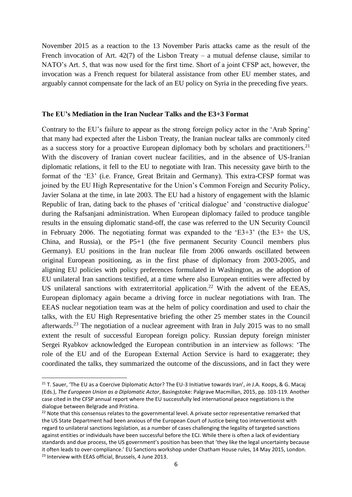November 2015 as a reaction to the 13 November Paris attacks came as the result of the French invocation of Art.  $42(7)$  of the Lisbon Treaty – a mutual defense clause, similar to NATO's Art. 5, that was now used for the first time. Short of a joint CFSP act, however, the invocation was a French request for bilateral assistance from other EU member states, and arguably cannot compensate for the lack of an EU policy on Syria in the preceding five years.

#### **The EU's Mediation in the Iran Nuclear Talks and the E3+3 Format**

Contrary to the EU's failure to appear as the strong foreign policy actor in the 'Arab Spring' that many had expected after the Lisbon Treaty, the Iranian nuclear talks are commonly cited as a success story for a proactive European diplomacy both by scholars and practitioners.<sup>21</sup> With the discovery of Iranian covert nuclear facilities, and in the absence of US-Iranian diplomatic relations, it fell to the EU to negotiate with Iran. This necessity gave birth to the format of the 'E3' (i.e. France, Great Britain and Germany). This extra-CFSP format was joined by the EU High Representative for the Union's Common Foreign and Security Policy, Javier Solana at the time, in late 2003. The EU had a history of engagement with the Islamic Republic of Iran, dating back to the phases of 'critical dialogue' and 'constructive dialogue' during the Rafsanjani administration. When European diplomacy failed to produce tangible results in the ensuing diplomatic stand-off, the case was referred to the UN Security Council in February 2006. The negotiating format was expanded to the 'E3+3' (the E3+ the US, China, and Russia), or the P5+1 (the five permanent Security Council members plus Germany). EU positions in the Iran nuclear file from 2006 onwards oscillated between original European positioning, as in the first phase of diplomacy from 2003-2005, and aligning EU policies with policy preferences formulated in Washington, as the adoption of EU unilateral Iran sanctions testified, at a time where also European entities were affected by US unilateral sanctions with extraterritorial application.<sup>22</sup> With the advent of the EEAS, European diplomacy again became a driving force in nuclear negotiations with Iran. The EEAS nuclear negotiation team was at the helm of policy coordination and used to chair the talks, with the EU High Representative briefing the other 25 member states in the Council afterwards.<sup>23</sup> The negotiation of a nuclear agreement with Iran in July 2015 was to no small extent the result of successful European foreign policy. Russian deputy foreign minister Sergei Ryabkov acknowledged the European contribution in an interview as follows: 'The role of the EU and of the European External Action Service is hard to exaggerate; they coordinated the talks, they summarized the outcome of the discussions, and in fact they were

<sup>21</sup> T. Sauer, 'The EU as a Coercive Diplomatic Actor? The EU-3 Initiative towards Iran', *in* J.A. Koops, & G. Macaj (Eds.), *The European Union as a Diplomatic Actor*, Basingstoke: Palgrave Macmillan, 2015, pp. 103-119. Another case cited in the CFSP annual report where the EU successfully led international peace negotiations is the dialogue between Belgrade and Pristina.

<sup>&</sup>lt;sup>22</sup> Note that this consensus relates to the governmental level. A private sector representative remarked that the US State Department had been anxious of the European Court of Justice being too interventionist with regard to unilateral sanctions legislation, as a number of cases challenging the legality of targeted sanctions against entities or individuals have been successful before the ECJ. While there is often a lack of evidentiary standards and due process, the US government's position has been that 'they like the legal uncertainty because it often leads to over-compliance.' EU Sanctions workshop under Chatham House rules, 14 May 2015, London. <sup>23</sup> Interview with EEAS official, Brussels, 4 June 2013.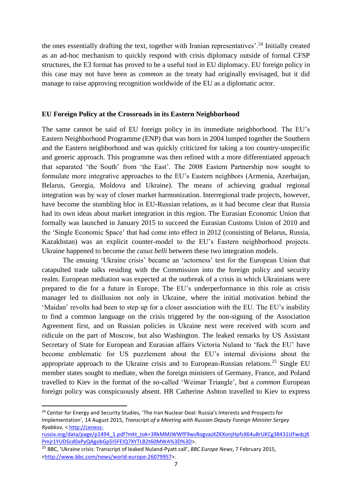the ones essentially drafting the text, together with Iranian representatives'.<sup>24</sup> Initially created as an ad-hoc mechanism to quickly respond with crisis diplomacy outside of formal CFSP structures, the E3 format has proved to be a useful tool in EU diplomacy. EU foreign policy in this case may not have been as *common* as the treaty had originally envisaged, but it did manage to raise approving recognition worldwide of the EU as a diplomatic actor.

#### **EU Foreign Policy at the Crossroads in its Eastern Neighborhood**

The same cannot be said of EU foreign policy in its immediate neighborhood. The EU's Eastern Neighborhood Programme (ENP) that was born in 2004 lumped together the Southern and the Eastern neighborhood and was quickly criticized for taking a too country-unspecific and generic approach. This programme was then refined with a more differentiated approach that separated 'the South' from 'the East'. The 2008 Eastern Partnership now sought to formulate more integrative approaches to the EU's Eastern neighbors (Armenia, Azerbaijan, Belarus, Georgia, Moldova and Ukraine). The means of achieving gradual regional integration was by way of closer market harmonization. Interregional trade projects, however, have become the stumbling bloc in EU-Russian relations, as it had become clear that Russia had its own ideas about market integration in this region. The Eurasian Economic Union that formally was launched in January 2015 to succeed the Eurasian Customs Union of 2010 and the 'Single Economic Space' that had come into effect in 2012 (consisting of Belarus, Russia, Kazakhstan) was an explicit counter-model to the EU's Eastern neighborhood projects. Ukraine happened to become the *casus belli* between these two integration models.

The ensuing 'Ukraine crisis' became an 'actorness' test for the European Union that catapulted trade talks residing with the Commission into the foreign policy and security realm. European mediation was expected at the outbreak of a crisis in which Ukrainians were prepared to die for a future in Europe. The EU's underperformance in this role as crisis manager led to disillusion not only in Ukraine, where the initial motivation behind the 'Maidan' revolts had been to step up for a closer association with the EU. The EU's inability to find a common language on the crisis triggered by the non-signing of the Association Agreement first, and on Russian policies in Ukraine next were received with scorn and ridicule on the part of Moscow, but also Washington. The leaked remarks by US Assistant Secretary of State for European and Eurasian affairs Victoria Nuland to 'fuck the EU' have become emblematic for US puzzlement about the EU's internal divisions about the appropriate approach to the Ukraine crisis and to European-Russian relations.<sup>25</sup> Single EU member states sought to mediate, when the foreign ministers of Germany, France, and Poland travelled to Kiev in the format of the so-called 'Weimar Triangle', but a *common* European foreign policy was conspicuously absent. HR Catherine Ashton travelled to Kiev to express

1

<sup>&</sup>lt;sup>24</sup> Center for Energy and Security Studies, 'The Iran Nuclear Deal: Russia's Interests and Prospects for Implementation', 14 August 2015, *Transcript of a Meeting with Russian Deputy Foreign Minister Sergey Ryabkov,* < [http://ceness-](http://ceness-russia.org/data/page/p1494_1.pdf?mkt_tok=3RkMMJWWfF9wsRogvazKZKXonjHpfsX64u8rUKCg38431UFwdcjKPmjr1YUDScd0aPyQAgobGp5I5FEIQ7XYTLB2t60MWA%3D%3D)

[russia.org/data/page/p1494\\_1.pdf?mkt\\_tok=3RkMMJWWfF9wsRogvazKZKXonjHpfsX64u8rUKCg38431UFwdcjK](http://ceness-russia.org/data/page/p1494_1.pdf?mkt_tok=3RkMMJWWfF9wsRogvazKZKXonjHpfsX64u8rUKCg38431UFwdcjKPmjr1YUDScd0aPyQAgobGp5I5FEIQ7XYTLB2t60MWA%3D%3D) [Pmjr1YUDScd0aPyQAgobGp5I5FEIQ7XYTLB2t60MWA%3D%3D>](http://ceness-russia.org/data/page/p1494_1.pdf?mkt_tok=3RkMMJWWfF9wsRogvazKZKXonjHpfsX64u8rUKCg38431UFwdcjKPmjr1YUDScd0aPyQAgobGp5I5FEIQ7XYTLB2t60MWA%3D%3D).

<sup>25</sup> BBC, 'Ukraine crisis: Transcript of leaked Nuland-Pyatt call', *BBC Europe News*, 7 February 2015, [<http://www.bbc.com/news/world-europe-26079957>](http://www.bbc.com/news/world-europe-26079957).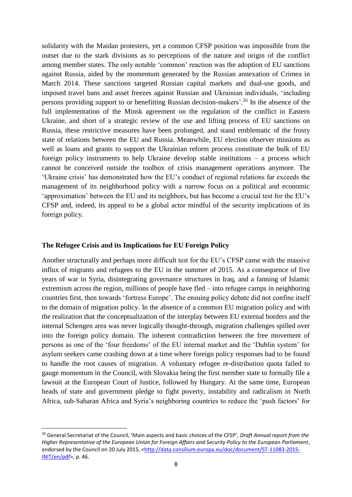solidarity with the Maidan protesters, yet a common CFSP position was impossible from the outset due to the stark divisions as to perceptions of the nature and origin of the conflict among member states. The only notable 'common' reaction was the adoption of EU sanctions against Russia, aided by the momentum generated by the Russian annexation of Crimea in March 2014. These sanctions targeted Russian capital markets and dual-use goods, and imposed travel bans and asset freezes against Russian and Ukrainian individuals, 'including persons providing support to or benefitting Russian decision-makers'.<sup>26</sup> In the absence of the full implementation of the Minsk agreement on the regulation of the conflict in Eastern Ukraine, and short of a strategic review of the use and lifting process of EU sanctions on Russia, these restrictive measures have been prolonged, and stand emblematic of the frosty state of relations between the EU and Russia. Meanwhile, EU election observer missions as well as loans and grants to support the Ukrainian reform process constitute the bulk of EU foreign policy instruments to help Ukraine develop stable institutions – a process which cannot be conceived outside the toolbox of crisis management operations anymore. The 'Ukraine crisis' has demonstrated how the EU's conduct of regional relations far exceeds the management of its neighborhood policy with a narrow focus on a political and economic 'approximation' between the EU and its neighbors, but has become a crucial test for the EU's CFSP and, indeed, its appeal to be a global actor mindful of the security implications of its foreign policy.

#### **The Refugee Crisis and its Implications for EU Foreign Policy**

**.** 

Another structurally and perhaps more difficult test for the EU's CFSP came with the massive influx of migrants and refugees to the EU in the summer of 2015. As a consequence of five years of war in Syria, disintegrating governance structures in Iraq, and a fanning of Islamic extremism across the region, millions of people have fled – into refugee camps in neighboring countries first, then towards 'fortress Europe'. The ensuing policy debate did not confine itself to the domain of migration policy. In the absence of a common EU migration policy and with the realization that the conceptualization of the interplay between EU external borders and the internal Schengen area was never logically thought-through, migration challenges spilled over into the foreign policy domain. The inherent contradiction between the free movement of persons as one of the 'four freedoms' of the EU internal market and the 'Dublin system' for asylum seekers came crashing down at a time where foreign policy responses had to be found to handle the root causes of migration. A voluntary refugee re-distribution quota failed to gauge momentum in the Council, with Slovakia being the first member state to formally file a lawsuit at the European Court of Justice, followed by Hungary. At the same time, European heads of state and government pledge to fight poverty, instability and radicalism in North Africa, sub-Saharan Africa and Syria's neighboring countries to reduce the 'push factors' for

<sup>26</sup> General Secretariat of the Council, 'Main aspects and basic choices of the CFSP', *Draft Annual report from the Higher Representative of the European Union for Foreign Affairs and Security Policy to the European Parliament*, endorsed by the Council on 20 July 2015, [<http://data.consilium.europa.eu/doc/document/ST-11083-2015-](http://data.consilium.europa.eu/doc/document/ST-11083-2015-INIT/en/pdf) [INIT/en/pdf>](http://data.consilium.europa.eu/doc/document/ST-11083-2015-INIT/en/pdf), p. 46.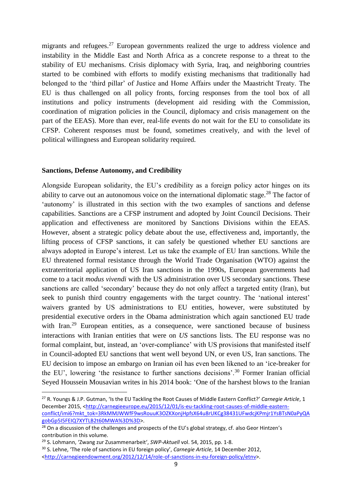migrants and refugees.<sup>27</sup> European governments realized the urge to address violence and instability in the Middle East and North Africa as a concrete response to a threat to the stability of EU mechanisms. Crisis diplomacy with Syria, Iraq, and neighboring countries started to be combined with efforts to modify existing mechanisms that traditionally had belonged to the 'third pillar' of Justice and Home Affairs under the Maastricht Treaty. The EU is thus challenged on all policy fronts, forcing responses from the tool box of all institutions and policy instruments (development aid residing with the Commission, coordination of migration policies in the Council, diplomacy and crisis management on the part of the EEAS). More than ever, real-life events do not wait for the EU to consolidate its CFSP. Coherent responses must be found, sometimes creatively, and with the level of political willingness and European solidarity required.

#### **Sanctions, Defense Autonomy, and Credibility**

Alongside European solidarity, the EU's credibility as a foreign policy actor hinges on its ability to carve out an autonomous voice on the international diplomatic stage.<sup>28</sup> The factor of 'autonomy' is illustrated in this section with the two examples of sanctions and defense capabilities. Sanctions are a CFSP instrument and adopted by Joint Council Decisions. Their application and effectiveness are monitored by Sanctions Divisions within the EEAS. However, absent a strategic policy debate about the use, effectiveness and, importantly, the lifting process of CFSP sanctions, it can safely be questioned whether EU sanctions are always adopted in Europe's interest. Let us take the example of EU Iran sanctions. While the EU threatened formal resistance through the World Trade Organisation (WTO) against the extraterritorial application of US Iran sanctions in the 1990s, European governments had come to a tacit *modus vivendi* with the US administration over US secondary sanctions. These sanctions are called 'secondary' because they do not only affect a targeted entity (Iran), but seek to punish third country engagements with the target country. The 'national interest' waivers granted by US administrations to EU entities, however, were substituted by presidential executive orders in the Obama administration which again sanctioned EU trade with Iran.<sup>29</sup> European entities, as a consequence, were sanctioned because of business interactions with Iranian entities that were on *US* sanctions lists. The EU response was no formal complaint, but, instead, an 'over-compliance' with US provisions that manifested itself in Council-adopted EU sanctions that went well beyond UN, or even US, Iran sanctions. The EU decision to impose an embargo on Iranian oil has even been likened to an 'ice-breaker for the EU', lowering 'the resistance to further sanctions decisions'.<sup>30</sup> Former Iranian official Seyed Houssein Mousavian writes in his 2014 book: 'One of the harshest blows to the Iranian

1

<sup>27</sup> R. Youngs & J.P. Gutman, 'Is the EU Tackling the Root Causes of Middle Eastern Conflict?' *Carnegie Article*, 1 December 2015, [<http://carnegieeurope.eu/2015/12/01/is-eu-tackling-root-causes-of-middle-eastern](http://carnegieeurope.eu/2015/12/01/is-eu-tackling-root-causes-of-middle-eastern-conflict/imi6?mkt_tok=3RkMMJWWfF9wsRouuK3OZKXonjHpfsX64u8rUKCg38431UFwdcjKPmjr1YsBTsN0aPyQAgobGp5I5FEIQ7XYTLB2t60MWA%3D%3D)[conflict/imi6?mkt\\_tok=3RkMMJWWfF9wsRouuK3OZKXonjHpfsX64u8rUKCg38431UFwdcjKPmjr1YsBTsN0aPyQA](http://carnegieeurope.eu/2015/12/01/is-eu-tackling-root-causes-of-middle-eastern-conflict/imi6?mkt_tok=3RkMMJWWfF9wsRouuK3OZKXonjHpfsX64u8rUKCg38431UFwdcjKPmjr1YsBTsN0aPyQAgobGp5I5FEIQ7XYTLB2t60MWA%3D%3D) [gobGp5I5FEIQ7XYTLB2t60MWA%3D%3D>](http://carnegieeurope.eu/2015/12/01/is-eu-tackling-root-causes-of-middle-eastern-conflict/imi6?mkt_tok=3RkMMJWWfF9wsRouuK3OZKXonjHpfsX64u8rUKCg38431UFwdcjKPmjr1YsBTsN0aPyQAgobGp5I5FEIQ7XYTLB2t60MWA%3D%3D).

 $^{28}$  On a discussion of the challenges and prospects of the EU's global strategy, cf. also Geor Hintzen's contribution in this volume.

<sup>29</sup> S. Lohmann, 'Zwang zur Zusammenarbeit', *SWP-Aktuell* vol. 54, 2015, pp. 1-8.

<sup>30</sup> S. Lehne, 'The role of sanctions in EU foreign policy', *Carnegie Article*, 14 December 2012, [<http://carnegieendowment.org/2012/12/14/role-of-sanctions-in-eu-foreign-policy/etnv>](http://carnegieendowment.org/2012/12/14/role-of-sanctions-in-eu-foreign-policy/etnv).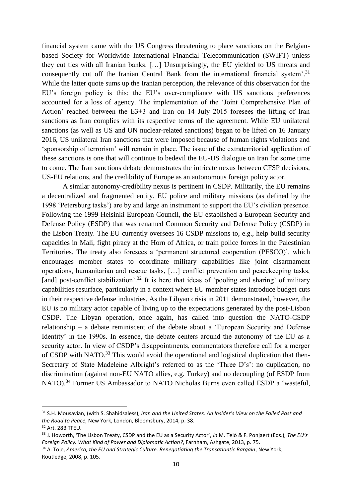financial system came with the US Congress threatening to place sanctions on the Belgianbased Society for Worldwide International Financial Telecommunication (SWIFT) unless they cut ties with all Iranian banks. […] Unsurprisingly, the EU yielded to US threats and consequently cut off the Iranian Central Bank from the international financial system'.<sup>31</sup> While the latter quote sums up the Iranian perception, the relevance of this observation for the EU's foreign policy is this: the EU's over-compliance with US sanctions preferences accounted for a loss of agency. The implementation of the 'Joint Comprehensive Plan of Action' reached between the E3+3 and Iran on 14 July 2015 foresees the lifting of Iran sanctions as Iran complies with its respective terms of the agreement. While EU unilateral sanctions (as well as US and UN nuclear-related sanctions) began to be lifted on 16 January 2016, US unilateral Iran sanctions that were imposed because of human rights violations and 'sponsorship of terrorism' will remain in place. The issue of the extraterritorial application of these sanctions is one that will continue to bedevil the EU-US dialogue on Iran for some time to come. The Iran sanctions debate demonstrates the intricate nexus between CFSP decisions, US-EU relations, and the credibility of Europe as an autonomous foreign policy actor.

A similar autonomy-credibility nexus is pertinent in CSDP. Militarily, the EU remains a decentralized and fragmented entity. EU police and military missions (as defined by the 1998 'Petersburg tasks') are by and large an instrument to support the EU's civilian presence. Following the 1999 Helsinki European Council, the EU established a European Security and Defense Policy (ESDP) that was renamed Common Security and Defense Policy (CSDP) in the Lisbon Treaty. The EU currently oversees 16 CSDP missions to, e.g., help build security capacities in Mali, fight piracy at the Horn of Africa, or train police forces in the Palestinian Territories. The treaty also foresees a 'permanent structured cooperation (PESCO)', which encourages member states to coordinate military capabilities like joint disarmament operations, humanitarian and rescue tasks, […] conflict prevention and peacekeeping tasks, [and] post-conflict stabilization'.<sup>32</sup> It is here that ideas of 'pooling and sharing' of military capabilities resurface, particularly in a context where EU member states introduce budget cuts in their respective defense industries. As the Libyan crisis in 2011 demonstrated, however, the EU is no military actor capable of living up to the expectations generated by the post-Lisbon CSDP. The Libyan operation, once again, has called into question the NATO-CSDP relationship – a debate reminiscent of the debate about a 'European Security and Defense Identity' in the 1990s. In essence, the debate centers around the autonomy of the EU as a security actor. In view of CSDP's disappointments, commentators therefore call for a merger of CSDP with NATO.<sup>33</sup> This would avoid the operational and logistical duplication that then-Secretary of State Madeleine Albright's referred to as the 'Three D's': no duplication, no discrimination (against non-EU NATO allies, e.g. Turkey) and no decoupling (of ESDP from NATO).<sup>34</sup> Former US Ambassador to NATO Nicholas Burns even called ESDP a 'wasteful,

 $\overline{a}$ 

<sup>31</sup> S.H. Mousavian, (with S. Shahidsaless), *Iran and the United States. An Insider's View on the Failed Past and the Road to Peace*, New York, London, Bloomsbury, 2014, p. 38.

<sup>32</sup> Art. 28B TFEU.

<sup>33</sup> J. Howorth, 'The Lisbon Treaty, CSDP and the EU as a Security Actor', *in* M. Telò & F. Ponjaert (Eds.), *The EU's Foreign Policy. What Kind of Power and Diplomatic Action?*, Farnham, Ashgate, 2013, p. 75.

<sup>&</sup>lt;sup>34</sup> A. Toje, *America, the EU and Strategic Culture. Renegotiating the Transatlantic Bargain*, New York, Routledge, 2008, p. 105.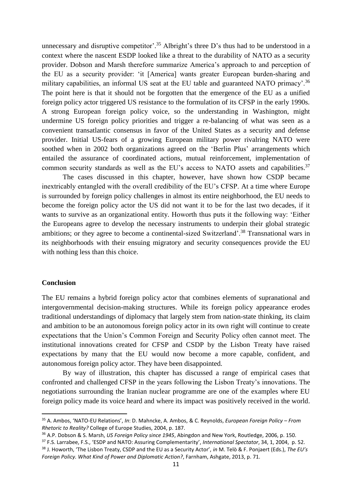unnecessary and disruptive competitor'.<sup>35</sup> Albright's three D's thus had to be understood in a context where the nascent ESDP looked like a threat to the durability of NATO as a security provider. Dobson and Marsh therefore summarize America's approach to and perception of the EU as a security provider: 'it [America] wants greater European burden-sharing and military capabilities, an informal US seat at the EU table and guaranteed NATO primacy'.<sup>36</sup> The point here is that it should not be forgotten that the emergence of the EU as a unified foreign policy actor triggered US resistance to the formulation of its CFSP in the early 1990s. A strong European foreign policy voice, so the understanding in Washington, might undermine US foreign policy priorities and trigger a re-balancing of what was seen as a convenient transatlantic consensus in favor of the United States as a security and defense provider. Initial US-fears of a growing European military power rivalring NATO were soothed when in 2002 both organizations agreed on the 'Berlin Plus' arrangements which entailed the assurance of coordinated actions, mutual reinforcement, implementation of common security standards as well as the EU's access to NATO assets and capabilities.<sup>37</sup>

The cases discussed in this chapter, however, have shown how CSDP became inextricably entangled with the overall credibility of the EU's CFSP. At a time where Europe is surrounded by foreign policy challenges in almost its entire neighborhood, the EU needs to become the foreign policy actor the US did not want it to be for the last two decades, if it wants to survive as an organizational entity. Howorth thus puts it the following way: 'Either the Europeans agree to develop the necessary instruments to underpin their global strategic ambitions; or they agree to become a continental-sized Switzerland'.<sup>38</sup> Transnational wars in its neighborhoods with their ensuing migratory and security consequences provide the EU with nothing less than this choice.

#### **Conclusion**

**.** 

The EU remains a hybrid foreign policy actor that combines elements of supranational and intergovernmental decision-making structures. While its foreign policy appearance erodes traditional understandings of diplomacy that largely stem from nation-state thinking, its claim and ambition to be an autonomous foreign policy actor in its own right will continue to create expectations that the Union's Common Foreign and Security Policy often cannot meet. The institutional innovations created for CFSP and CSDP by the Lisbon Treaty have raised expectations by many that the EU would now become a more capable, confident, and autonomous foreign policy actor. They have been disappointed.

By way of illustration, this chapter has discussed a range of empirical cases that confronted and challenged CFSP in the years following the Lisbon Treaty's innovations. The negotiations surrounding the Iranian nuclear programme are one of the examples where EU foreign policy made its voice heard and where its impact was positively received in the world.

<sup>35</sup> A. Ambos, 'NATO-EU Relations', *In*: D. Mahncke, A. Ambos, & C. Reynolds, *European Foreign Policy – From Rhetoric to Reality?* College of Europe Studies, 2004, p. 187.

<sup>36</sup> A.P. Dobson & S. Marsh, *US Foreign Policy since 1945*, Abingdon and New York, Routledge, 2006, p. 150.

<sup>37</sup> F.S. Larrabee, F.S., 'ESDP and NATO: Assuring Complementarity', *International Spectator*, 34, 1, 2004, p. 52. <sup>38</sup> J. Howorth, 'The Lisbon Treaty, CSDP and the EU as a Security Actor', *in* M. Telò & F. Ponjaert (Eds.), *The EU's Foreign Policy. What Kind of Power and Diplomatic Action?*, Farnham, Ashgate, 2013, p. 71.